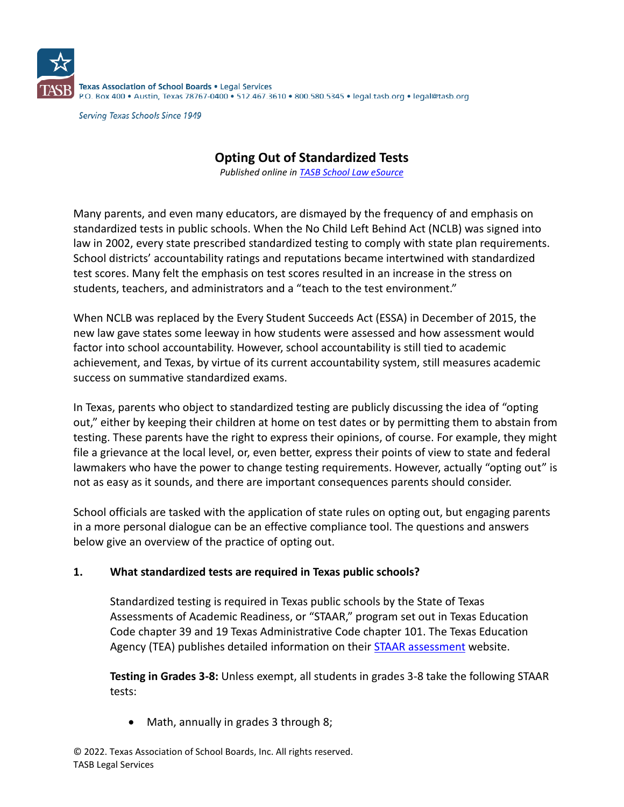

**Serving Texas Schools Since 1949** 

# **Opting Out of Standardized Tests**

*Published online in [TASB School Law eSource](https://www.tasb.org/Services/Legal-Services/TASB-School-Law-eSource.aspx)*

Many parents, and even many educators, are dismayed by the frequency of and emphasis on standardized tests in public schools. When the No Child Left Behind Act (NCLB) was signed into law in 2002, every state prescribed standardized testing to comply with state plan requirements. School districts' accountability ratings and reputations became intertwined with standardized test scores. Many felt the emphasis on test scores resulted in an increase in the stress on students, teachers, and administrators and a "teach to the test environment."

When NCLB was replaced by the Every Student Succeeds Act (ESSA) in December of 2015, the new law gave states some leeway in how students were assessed and how assessment would factor into school accountability. However, school accountability is still tied to academic achievement, and Texas, by virtue of its current accountability system, still measures academic success on summative standardized exams.

In Texas, parents who object to standardized testing are publicly discussing the idea of "opting out," either by keeping their children at home on test dates or by permitting them to abstain from testing. These parents have the right to express their opinions, of course. For example, they might file a grievance at the local level, or, even better, express their points of view to state and federal lawmakers who have the power to change testing requirements. However, actually "opting out" is not as easy as it sounds, and there are important consequences parents should consider.

School officials are tasked with the application of state rules on opting out, but engaging parents in a more personal dialogue can be an effective compliance tool. The questions and answers below give an overview of the practice of opting out.

#### **1. What standardized tests are required in Texas public schools?**

Standardized testing is required in Texas public schools by the State of Texas Assessments of Academic Readiness, or "STAAR," program set out in Texas Education Code chapter 39 and 19 Texas Administrative Code chapter 101. The Texas Education Agency (TEA) publishes detailed information on their **STAAR** assessment website.

**Testing in Grades 3-8:** Unless exempt, all students in grades 3-8 take the following STAAR tests:

• Math, annually in grades 3 through 8;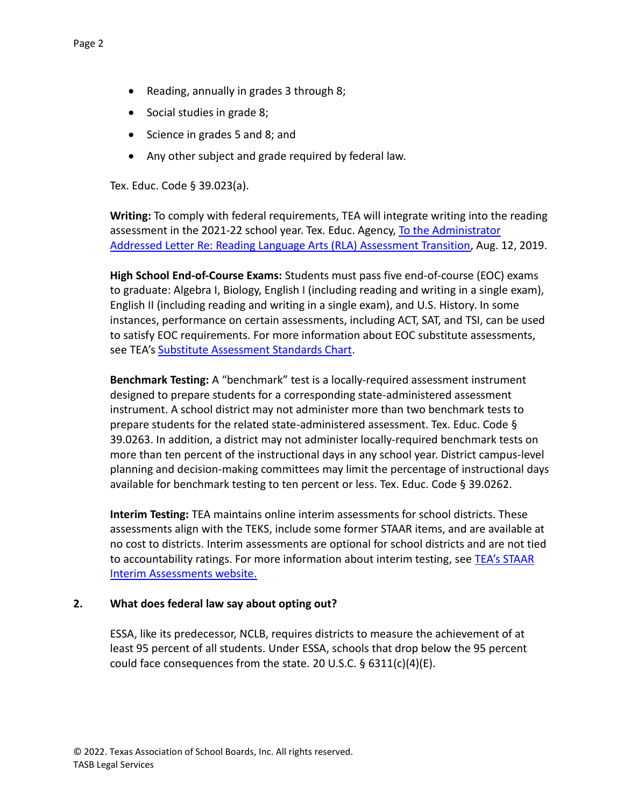- Reading, annually in grades 3 through 8;
- Social studies in grade 8;
- Science in grades 5 and 8; and
- Any other subject and grade required by federal law.

Tex. Educ. Code § 39.023(a).

**Writing:** To comply with federal requirements, TEA will integrate writing into the reading assessment in the 2021-22 school year. Tex. Educ. Agency, [To the Administrator](https://tea.texas.gov/About_TEA/News_and_Multimedia/Correspondence/TAA_Letters/Reading_Language_Arts_%28RLA%29_Assessment_Transition)  [Addressed Letter Re: Reading Language Arts \(RLA\) Assessment Transition,](https://tea.texas.gov/About_TEA/News_and_Multimedia/Correspondence/TAA_Letters/Reading_Language_Arts_%28RLA%29_Assessment_Transition) Aug. 12, 2019.

**High School End-of-Course Exams:** Students must pass five end-of-course (EOC) exams to graduate: Algebra I, Biology, English I (including reading and writing in a single exam), English II (including reading and writing in a single exam), and U.S. History. In some instances, performance on certain assessments, including ACT, SAT, and TSI, can be used to satisfy EOC requirements. For more information about EOC substitute assessments, see TEA's [Substitute Assessment Standards Chart.](https://tea.texas.gov/sites/default/files/4%20approvedSubAssessments.pdf)

**Benchmark Testing:** A "benchmark" test is a locally-required assessment instrument designed to prepare students for a corresponding state-administered assessment instrument. A school district may not administer more than two benchmark tests to prepare students for the related state-administered assessment. Tex. Educ. Code § 39.0263. In addition, a district may not administer locally-required benchmark tests on more than ten percent of the instructional days in any school year. District campus-level planning and decision-making committees may limit the percentage of instructional days available for benchmark testing to ten percent or less. Tex. Educ. Code § 39.0262.

**Interim Testing:** TEA maintains online interim assessments for school districts. These assessments align with the TEKS, include some former STAAR items, and are available at no cost to districts. Interim assessments are optional for school districts and are not tied to accountability ratings. For more information about interim testing, see [TEA's STAAR](https://tea.texas.gov/student-assessment/testing/staar/staar-interim-assessments)  [Interim Assessments website.](https://tea.texas.gov/student-assessment/testing/staar/staar-interim-assessments)

#### **2. What does federal law say about opting out?**

ESSA, like its predecessor, NCLB, requires districts to measure the achievement of at least 95 percent of all students. Under ESSA, schools that drop below the 95 percent could face consequences from the state. 20 U.S.C. § 6311(c)(4)(E).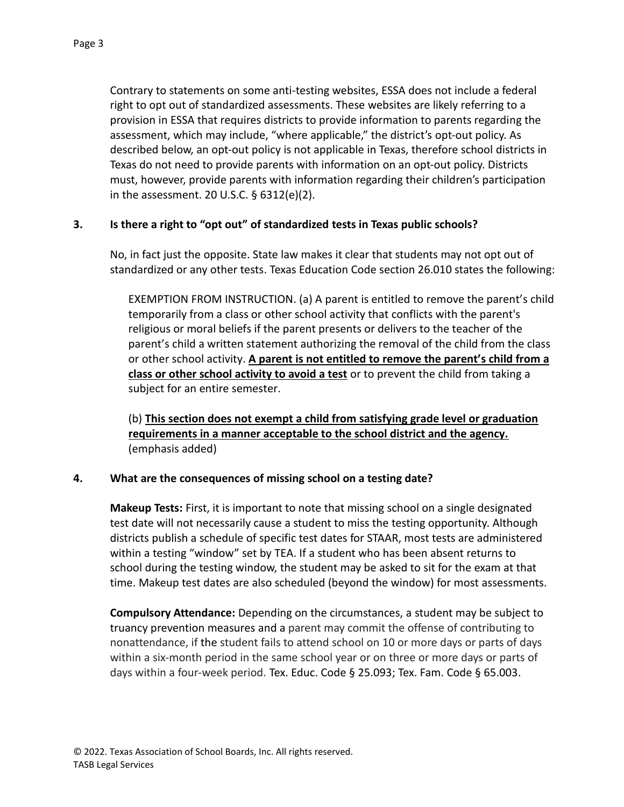Contrary to statements on some anti-testing websites, ESSA does not include a federal right to opt out of standardized assessments. These websites are likely referring to a provision in ESSA that requires districts to provide information to parents regarding the assessment, which may include, "where applicable," the district's opt-out policy. As described below, an opt-out policy is not applicable in Texas, therefore school districts in Texas do not need to provide parents with information on an opt-out policy. Districts must, however, provide parents with information regarding their children's participation in the assessment. 20 U.S.C. § 6312(e)(2).

### **3. Is there a right to "opt out" of standardized tests in Texas public schools?**

No, in fact just the opposite. State law makes it clear that students may not opt out of standardized or any other tests. Texas Education Code section 26.010 states the following:

EXEMPTION FROM INSTRUCTION. (a) A parent is entitled to remove the parent's child temporarily from a class or other school activity that conflicts with the parent's religious or moral beliefs if the parent presents or delivers to the teacher of the parent's child a written statement authorizing the removal of the child from the class or other school activity. **A parent is not entitled to remove the parent's child from a class or other school activity to avoid a test** or to prevent the child from taking a subject for an entire semester.

(b) **This section does not exempt a child from satisfying grade level or graduation requirements in a manner acceptable to the school district and the agency.** (emphasis added)

#### **4. What are the consequences of missing school on a testing date?**

**Makeup Tests:** First, it is important to note that missing school on a single designated test date will not necessarily cause a student to miss the testing opportunity. Although districts publish a schedule of specific test dates for STAAR, most tests are administered within a testing "window" set by TEA. If a student who has been absent returns to school during the testing window, the student may be asked to sit for the exam at that time. Makeup test dates are also scheduled (beyond the window) for most assessments.

**Compulsory Attendance:** Depending on the circumstances, a student may be subject to truancy prevention measures and a parent may commit the offense of contributing to nonattendance, if the student fails to attend school on 10 or more days or parts of days within a six-month period in the same school year or on three or more days or parts of days within a four-week period. Tex. Educ. Code § 25.093; Tex. Fam. Code § 65.003.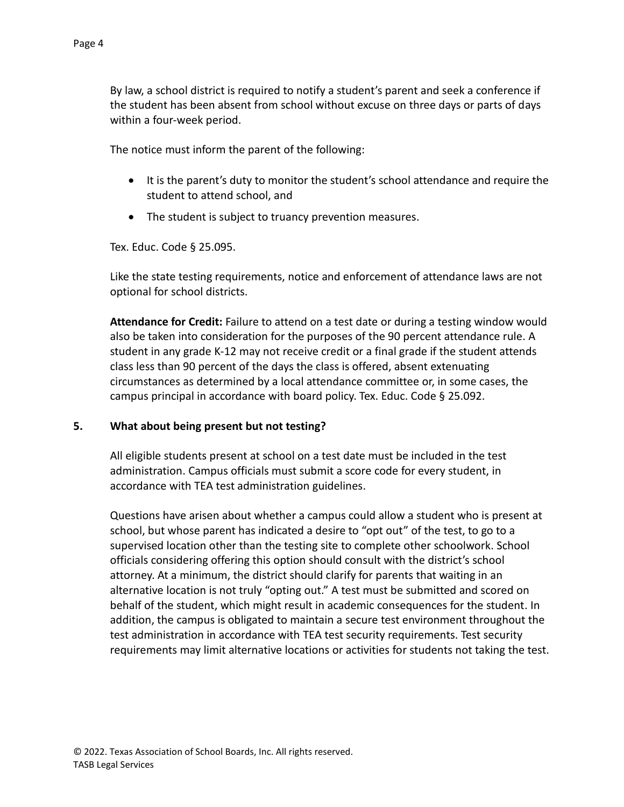By law, a school district is required to notify a student's parent and seek a conference if the student has been absent from school without excuse on three days or parts of days within a four-week period.

The notice must inform the parent of the following:

- It is the parent's duty to monitor the student's school attendance and require the student to attend school, and
- The student is subject to truancy prevention measures.

Tex. Educ. Code § 25.095.

Like the state testing requirements, notice and enforcement of attendance laws are not optional for school districts.

**Attendance for Credit:** Failure to attend on a test date or during a testing window would also be taken into consideration for the purposes of the 90 percent attendance rule. A student in any grade K-12 may not receive credit or a final grade if the student attends class less than 90 percent of the days the class is offered, absent extenuating circumstances as determined by a local attendance committee or, in some cases, the campus principal in accordance with board policy. Tex. Educ. Code § 25.092.

#### **5. What about being present but not testing?**

All eligible students present at school on a test date must be included in the test administration. Campus officials must submit a score code for every student, in accordance with TEA test administration guidelines.

Questions have arisen about whether a campus could allow a student who is present at school, but whose parent has indicated a desire to "opt out" of the test, to go to a supervised location other than the testing site to complete other schoolwork. School officials considering offering this option should consult with the district's school attorney. At a minimum, the district should clarify for parents that waiting in an alternative location is not truly "opting out." A test must be submitted and scored on behalf of the student, which might result in academic consequences for the student. In addition, the campus is obligated to maintain a secure test environment throughout the test administration in accordance with TEA test security requirements. Test security requirements may limit alternative locations or activities for students not taking the test.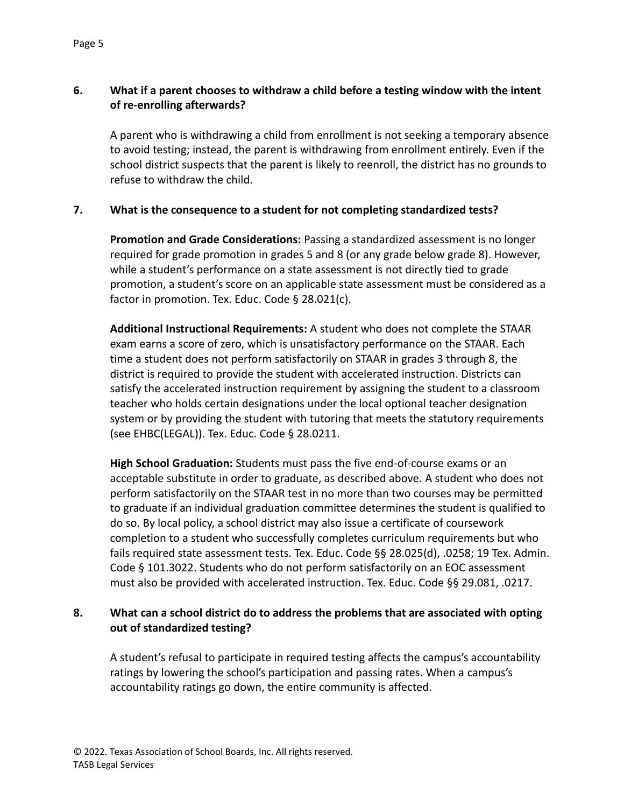# **6. What if a parent chooses to withdraw a child before a testing window with the intent of re-enrolling afterwards?**

A parent who is withdrawing a child from enrollment is not seeking a temporary absence to avoid testing; instead, the parent is withdrawing from enrollment entirely. Even if the school district suspects that the parent is likely to reenroll, the district has no grounds to refuse to withdraw the child.

### **7. What is the consequence to a student for not completing standardized tests?**

**Promotion and Grade Considerations:** Passing a standardized assessment is no longer required for grade promotion in grades 5 and 8 (or any grade below grade 8). However, while a student's performance on a state assessment is not directly tied to grade promotion, a student's score on an applicable state assessment must be considered as a factor in promotion. Tex. Educ. Code § 28.021(c).

**Additional Instructional Requirements:** A student who does not complete the STAAR exam earns a score of zero, which is unsatisfactory performance on the STAAR. Each time a student does not perform satisfactorily on STAAR in grades 3 through 8, the district is required to provide the student with accelerated instruction. Districts can satisfy the accelerated instruction requirement by assigning the student to a classroom teacher who holds certain designations under the local optional teacher designation system or by providing the student with tutoring that meets the statutory requirements (see EHBC(LEGAL)). Tex. Educ. Code § 28.0211.

**High School Graduation:** Students must pass the five end-of-course exams or an acceptable substitute in order to graduate, as described above. A student who does not perform satisfactorily on the STAAR test in no more than two courses may be permitted to graduate if an individual graduation committee determines the student is qualified to do so. By local policy, a school district may also issue a certificate of coursework completion to a student who successfully completes curriculum requirements but who fails required state assessment tests. Tex. Educ. Code §§ 28.025(d), .0258; 19 Tex. Admin. Code § 101.3022. Students who do not perform satisfactorily on an EOC assessment must also be provided with accelerated instruction. Tex. Educ. Code §§ 29.081, .0217.

# **8. What can a school district do to address the problems that are associated with opting out of standardized testing?**

A student's refusal to participate in required testing affects the campus's accountability ratings by lowering the school's participation and passing rates. When a campus's accountability ratings go down, the entire community is affected.